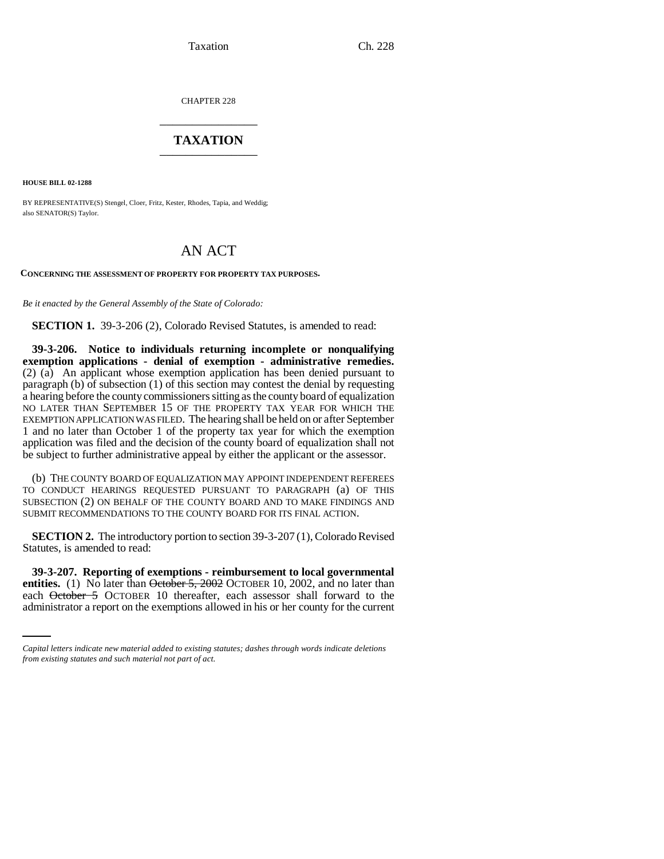Taxation Ch. 228

CHAPTER 228 \_\_\_\_\_\_\_\_\_\_\_\_\_\_\_

## **TAXATION** \_\_\_\_\_\_\_\_\_\_\_\_\_\_\_

**HOUSE BILL 02-1288**

BY REPRESENTATIVE(S) Stengel, Cloer, Fritz, Kester, Rhodes, Tapia, and Weddig; also SENATOR(S) Taylor.

## AN ACT

**CONCERNING THE ASSESSMENT OF PROPERTY FOR PROPERTY TAX PURPOSES.**

*Be it enacted by the General Assembly of the State of Colorado:*

**SECTION 1.** 39-3-206 (2), Colorado Revised Statutes, is amended to read:

**39-3-206. Notice to individuals returning incomplete or nonqualifying exemption applications - denial of exemption - administrative remedies.** (2) (a) An applicant whose exemption application has been denied pursuant to paragraph (b) of subsection (1) of this section may contest the denial by requesting a hearing before the county commissioners sitting as the county board of equalization NO LATER THAN SEPTEMBER 15 OF THE PROPERTY TAX YEAR FOR WHICH THE EXEMPTION APPLICATION WAS FILED. The hearing shall be held on or after September 1 and no later than October 1 of the property tax year for which the exemption application was filed and the decision of the county board of equalization shall not be subject to further administrative appeal by either the applicant or the assessor.

(b) THE COUNTY BOARD OF EQUALIZATION MAY APPOINT INDEPENDENT REFEREES TO CONDUCT HEARINGS REQUESTED PURSUANT TO PARAGRAPH (a) OF THIS SUBSECTION (2) ON BEHALF OF THE COUNTY BOARD AND TO MAKE FINDINGS AND SUBMIT RECOMMENDATIONS TO THE COUNTY BOARD FOR ITS FINAL ACTION.

**SECTION 2.** The introductory portion to section 39-3-207 (1), Colorado Revised Statutes, is amended to read:

entities. (1) No later than October 5, 2002 OCTOBER 10, 2002, and no later than **39-3-207. Reporting of exemptions - reimbursement to local governmental** each October 5 OCTOBER 10 thereafter, each assessor shall forward to the administrator a report on the exemptions allowed in his or her county for the current

*Capital letters indicate new material added to existing statutes; dashes through words indicate deletions from existing statutes and such material not part of act.*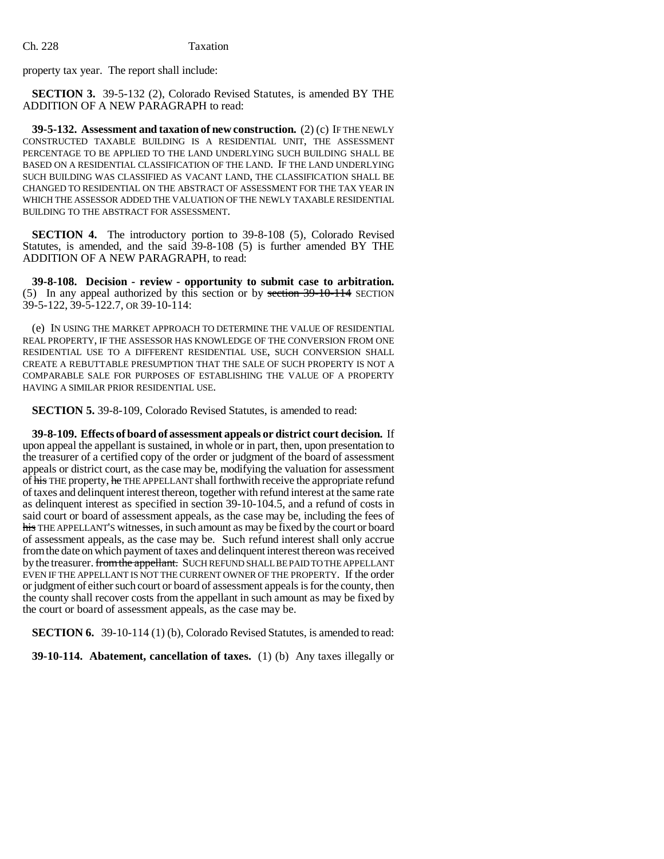property tax year. The report shall include:

**SECTION 3.** 39-5-132 (2), Colorado Revised Statutes, is amended BY THE ADDITION OF A NEW PARAGRAPH to read:

**39-5-132. Assessment and taxation of new construction.** (2) (c) IF THE NEWLY CONSTRUCTED TAXABLE BUILDING IS A RESIDENTIAL UNIT, THE ASSESSMENT PERCENTAGE TO BE APPLIED TO THE LAND UNDERLYING SUCH BUILDING SHALL BE BASED ON A RESIDENTIAL CLASSIFICATION OF THE LAND. IF THE LAND UNDERLYING SUCH BUILDING WAS CLASSIFIED AS VACANT LAND, THE CLASSIFICATION SHALL BE CHANGED TO RESIDENTIAL ON THE ABSTRACT OF ASSESSMENT FOR THE TAX YEAR IN WHICH THE ASSESSOR ADDED THE VALUATION OF THE NEWLY TAXABLE RESIDENTIAL BUILDING TO THE ABSTRACT FOR ASSESSMENT.

**SECTION 4.** The introductory portion to 39-8-108 (5), Colorado Revised Statutes, is amended, and the said 39-8-108 (5) is further amended BY THE ADDITION OF A NEW PARAGRAPH, to read:

**39-8-108. Decision - review - opportunity to submit case to arbitration.** (5) In any appeal authorized by this section or by section 39-10-114 SECTION 39-5-122, 39-5-122.7, OR 39-10-114:

(e) IN USING THE MARKET APPROACH TO DETERMINE THE VALUE OF RESIDENTIAL REAL PROPERTY, IF THE ASSESSOR HAS KNOWLEDGE OF THE CONVERSION FROM ONE RESIDENTIAL USE TO A DIFFERENT RESIDENTIAL USE, SUCH CONVERSION SHALL CREATE A REBUTTABLE PRESUMPTION THAT THE SALE OF SUCH PROPERTY IS NOT A COMPARABLE SALE FOR PURPOSES OF ESTABLISHING THE VALUE OF A PROPERTY HAVING A SIMILAR PRIOR RESIDENTIAL USE.

**SECTION 5.** 39-8-109, Colorado Revised Statutes, is amended to read:

**39-8-109. Effects of board of assessment appeals or district court decision.** If upon appeal the appellant is sustained, in whole or in part, then, upon presentation to the treasurer of a certified copy of the order or judgment of the board of assessment appeals or district court, as the case may be, modifying the valuation for assessment of his THE property, he THE APPELLANT shall forthwith receive the appropriate refund of taxes and delinquent interest thereon, together with refund interest at the same rate as delinquent interest as specified in section 39-10-104.5, and a refund of costs in said court or board of assessment appeals, as the case may be, including the fees of his THE APPELLANT'S witnesses, in such amount as may be fixed by the court or board of assessment appeals, as the case may be. Such refund interest shall only accrue from the date on which payment of taxes and delinquent interest thereon was received by the treasurer. from the appellant. SUCH REFUND SHALL BE PAID TO THE APPELLANT EVEN IF THE APPELLANT IS NOT THE CURRENT OWNER OF THE PROPERTY. If the order or judgment of either such court or board of assessment appeals is for the county, then the county shall recover costs from the appellant in such amount as may be fixed by the court or board of assessment appeals, as the case may be.

**SECTION 6.** 39-10-114 (1) (b), Colorado Revised Statutes, is amended to read:

**39-10-114. Abatement, cancellation of taxes.** (1) (b) Any taxes illegally or